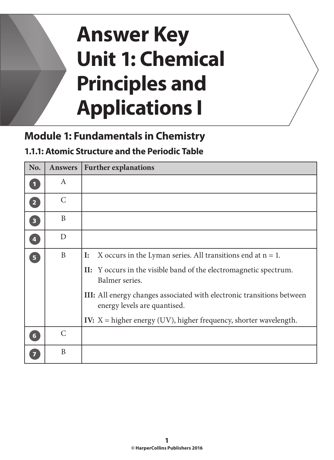# **Answer Key Unit 1: Chemical Principles and Applications I**

## **Module 1: Fundamentals in Chemistry**

#### **1.1.1: Atomic Structure and the Periodic Table**

| No.                     | <b>Answers</b> | <b>Further explanations</b>                                                                                   |
|-------------------------|----------------|---------------------------------------------------------------------------------------------------------------|
| $\blacksquare$          | A              |                                                                                                               |
| $\overline{2}$          | $\mathcal{C}$  |                                                                                                               |
| $\overline{\mathbf{3}}$ | B              |                                                                                                               |
| $\overline{\mathbf{4}}$ | D              |                                                                                                               |
| 5 <sup>1</sup>          | $\mathbf{B}$   | X occurs in the Lyman series. All transitions end at $n = 1$ .<br>$\mathbf{I}$ :                              |
|                         |                | II: Y occurs in the visible band of the electromagnetic spectrum.<br>Balmer series.                           |
|                         |                | <b>III:</b> All energy changes associated with electronic transitions between<br>energy levels are quantised. |
|                         |                | IV: $X =$ higher energy (UV), higher frequency, shorter wavelength.                                           |
| $6\phantom{1}$          | $\mathcal{C}$  |                                                                                                               |
|                         | B              |                                                                                                               |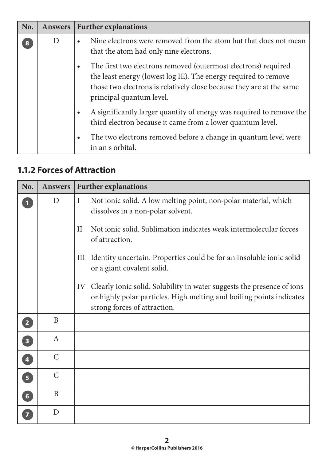| No. | <b>Answers</b> | <b>Further explanations</b>                                                                                                                                                                                                           |
|-----|----------------|---------------------------------------------------------------------------------------------------------------------------------------------------------------------------------------------------------------------------------------|
|     | $\mathbf{D}$   | Nine electrons were removed from the atom but that does not mean<br>that the atom had only nine electrons.                                                                                                                            |
|     |                | The first two electrons removed (outermost electrons) required<br>the least energy (lowest log IE). The energy required to remove<br>those two electrons is relatively close because they are at the same<br>principal quantum level. |
|     |                | A significantly larger quantity of energy was required to remove the<br>third electron because it came from a lower quantum level.                                                                                                    |
|     |                | The two electrons removed before a change in quantum level were<br>in an s orbital.                                                                                                                                                   |

#### **1.1.2 Forces of Attraction**

| No.                     | <b>Answers</b> | <b>Further explanations</b>                                                                                                                                                          |
|-------------------------|----------------|--------------------------------------------------------------------------------------------------------------------------------------------------------------------------------------|
|                         | D              | $\mathbf I$<br>Not ionic solid. A low melting point, non-polar material, which<br>dissolves in a non-polar solvent.                                                                  |
|                         |                | Not ionic solid. Sublimation indicates weak intermolecular forces<br>П<br>of attraction.                                                                                             |
|                         |                | Identity uncertain. Properties could be for an insoluble ionic solid<br>Ш<br>or a giant covalent solid.                                                                              |
|                         |                | Clearly Ionic solid. Solubility in water suggests the presence of ions<br>IV<br>or highly polar particles. High melting and boiling points indicates<br>strong forces of attraction. |
| $\overline{2}$          | B              |                                                                                                                                                                                      |
| $\overline{\mathbf{3}}$ | A              |                                                                                                                                                                                      |
| $\overline{\mathbf{4}}$ | $\mathsf{C}$   |                                                                                                                                                                                      |
| $\overline{\mathbf{5}}$ | $\mathcal{C}$  |                                                                                                                                                                                      |
| 6 <sup>1</sup>          | B              |                                                                                                                                                                                      |
|                         | D              |                                                                                                                                                                                      |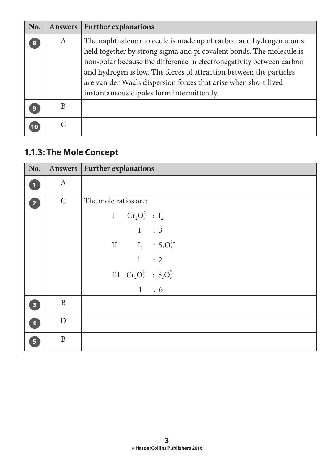| No. | <b>Answers</b> | <b>Further explanations</b>                                                                                                                                                                                                                                                                                                                                                                              |
|-----|----------------|----------------------------------------------------------------------------------------------------------------------------------------------------------------------------------------------------------------------------------------------------------------------------------------------------------------------------------------------------------------------------------------------------------|
| 8   | A              | The naphthalene molecule is made up of carbon and hydrogen atoms<br>held together by strong sigma and pi covalent bonds. The molecule is<br>non-polar because the difference in electronegativity between carbon<br>and hydrogen is low. The forces of attraction between the particles<br>are van der Waals dispersion forces that arise when short-lived<br>instantaneous dipoles form intermittently. |
| 9   | B              |                                                                                                                                                                                                                                                                                                                                                                                                          |
| 10  |                |                                                                                                                                                                                                                                                                                                                                                                                                          |

## **1.1.3: The Mole Concept**

| No.                     |              | Answers   Further explanations     |
|-------------------------|--------------|------------------------------------|
| $\mathbf{1}$            | $\mathbf{A}$ |                                    |
| $\boxed{2}$             | $\mathsf{C}$ | The mole ratios are:               |
|                         |              | I $Cr_2O_7^{2-}$ : I <sub>2</sub>  |
|                         |              | 1 : 3                              |
|                         |              | II $I_2$ : $S_2O_3^{2-}$           |
|                         |              | 1 : 2                              |
|                         |              | III $Cr_2O_7^{2-}$ : $S_2O_3^{2-}$ |
|                         |              | 1 : 6                              |
| $\overline{\mathbf{3}}$ | B            |                                    |
| $\overline{4}$          | $\mathbf{D}$ |                                    |
| 5 <sup>1</sup>          | $\mathbf{B}$ |                                    |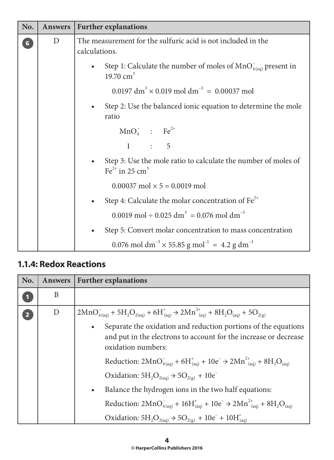| No.             | <b>Answers</b> | <b>Further explanations</b>                                                                              |
|-----------------|----------------|----------------------------------------------------------------------------------------------------------|
| $6\overline{6}$ | D              | The measurement for the sulfuric acid is not included in the<br>calculations.                            |
|                 |                | Step 1: Calculate the number of moles of $MnO_{4(aq)}^-$ present in<br>19.70 $cm3$                       |
|                 |                | $0.0197 \text{ dm}^3 \times 0.019 \text{ mol dm}^{-3} = 0.00037 \text{ mol}$                             |
|                 |                | Step 2: Use the balanced ionic equation to determine the mole<br>ratio                                   |
|                 |                | $MnO4$ : Fe <sup>2+</sup>                                                                                |
|                 |                | 1 : 5                                                                                                    |
|                 |                | Step 3: Use the mole ratio to calculate the number of moles of<br>$\text{Fe}^{2+}$ in 25 cm <sup>3</sup> |
|                 |                | $0.00037 \text{ mol} \times 5 = 0.0019 \text{ mol}$                                                      |
|                 |                | Step 4: Calculate the molar concentration of $Fe^{2+}$                                                   |
|                 |                | 0.0019 mol ÷ 0.025 dm <sup>3</sup> = 0.076 mol dm <sup>-3</sup>                                          |
|                 |                | Step 5: Convert molar concentration to mass concentration                                                |
|                 |                | 0.076 mol dm <sup>-3</sup> $\times$ 55.85 g mol <sup>-1</sup> = 4.2 g dm <sup>-3</sup>                   |

#### **1.1.4: Redox Reactions**

| No.            | <b>Answers</b> | <b>Further explanations</b>                                                                                                                                                                                                                                                                                                                                                                                                      |
|----------------|----------------|----------------------------------------------------------------------------------------------------------------------------------------------------------------------------------------------------------------------------------------------------------------------------------------------------------------------------------------------------------------------------------------------------------------------------------|
|                | B              |                                                                                                                                                                                                                                                                                                                                                                                                                                  |
| $\overline{2}$ | D              | $2MnO4(aq)+ + 5H2O2(aq) + 6H(aq)+ \rightarrow 2Mn2+(aq) + 8H2O(aa) + 5O2(g)$<br>Separate the oxidation and reduction portions of the equations<br>$\bullet$<br>and put in the electrons to account for the increase or decrease<br>oxidation numbers:<br>Reduction: $2MnO_{4(aq)}^- + 6H_{(aq)}^+ + 10e^- \rightarrow 2Mn_{(aq)}^{2+} + 8H_2O_{(aq)}$<br>Oxidation: $5H_2O_{2(aq)}$ $\rightarrow$ $5O_{2(g)}$ + 10e <sup>-</sup> |
|                |                | Balance the hydrogen ions in the two half equations:<br>$\bullet$<br>Reduction: $2MnO_{4(aq)}^- + 16H_{(aq)}^+ + 10e^- \rightarrow 2Mn_{(aq)}^{2+} + 8H_2O_{(aq)}$<br>Oxidation: $5H_2O_{2(aq)}$ $\rightarrow$ $5O_{2(g)}$ + $10e^-$ + $10H^{\dagger}_{(aq)}$                                                                                                                                                                    |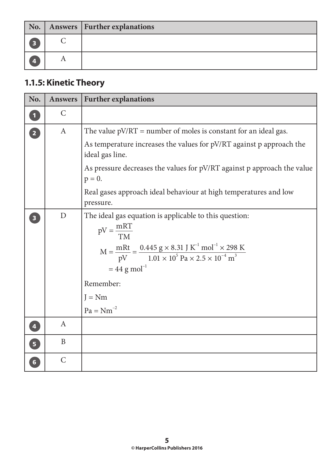|                  | No.   Answers   Further explanations |
|------------------|--------------------------------------|
| $\sqrt{3}$       |                                      |
| $\boldsymbol{4}$ |                                      |

## **1.1.5: Kinetic Theory**

| No.                     | <b>Answers</b>   | <b>Further explanations</b>                                                                                                                                                                                                                                                                     |
|-------------------------|------------------|-------------------------------------------------------------------------------------------------------------------------------------------------------------------------------------------------------------------------------------------------------------------------------------------------|
|                         | $\mathsf{C}$     |                                                                                                                                                                                                                                                                                                 |
| $\overline{2}$          | $\boldsymbol{A}$ | The value $pV/RT$ = number of moles is constant for an ideal gas.                                                                                                                                                                                                                               |
|                         |                  | As temperature increases the values for pV/RT against p approach the<br>ideal gas line.                                                                                                                                                                                                         |
|                         |                  | As pressure decreases the values for pV/RT against p approach the value<br>$p = 0$ .                                                                                                                                                                                                            |
|                         |                  | Real gases approach ideal behaviour at high temperatures and low<br>pressure.                                                                                                                                                                                                                   |
|                         | D                | The ideal gas equation is applicable to this question:<br>$pV = \frac{mRT}{TM}$<br>$M = \frac{mRt}{pV} = \frac{0.445 g \times 8.31 J K^{-1} mol^{-1} \times 298 K}{1.01 \times 10^5 Pa \times 2.5 \times 10^{-4} m^3}$<br>$= 44$ g mol <sup>-1</sup><br>Remember:<br>$J = Nm$<br>$Pa = Nm^{-2}$ |
| $\overline{\mathbf{4}}$ | $\mathbf{A}$     |                                                                                                                                                                                                                                                                                                 |
| $\overline{\mathbf{5}}$ | B                |                                                                                                                                                                                                                                                                                                 |
| $6\overline{6}$         | $\mathcal{C}$    |                                                                                                                                                                                                                                                                                                 |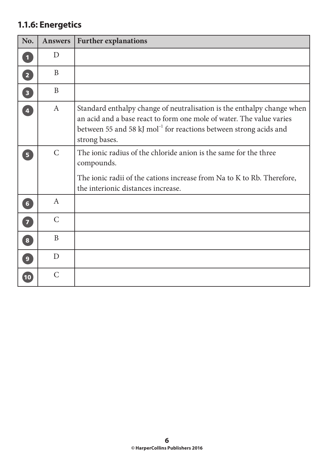## **1.1.6: Energetics**

| No.                     | <b>Answers</b> | <b>Further explanations</b>                                                                                                                                                                                                                      |
|-------------------------|----------------|--------------------------------------------------------------------------------------------------------------------------------------------------------------------------------------------------------------------------------------------------|
| $\mathbf{1}$            | $\mathbf{D}$   |                                                                                                                                                                                                                                                  |
| $\overline{2}$          | B              |                                                                                                                                                                                                                                                  |
| $\overline{\mathbf{3}}$ | B              |                                                                                                                                                                                                                                                  |
| $\overline{4}$          | $\mathbf{A}$   | Standard enthalpy change of neutralisation is the enthalpy change when<br>an acid and a base react to form one mole of water. The value varies<br>between 55 and 58 kJ mol <sup>-1</sup> for reactions between strong acids and<br>strong bases. |
| 5 <sup>1</sup>          | $\mathcal{C}$  | The ionic radius of the chloride anion is the same for the three<br>compounds.<br>The ionic radii of the cations increase from Na to K to Rb. Therefore,<br>the interionic distances increase.                                                   |
| 6 <sup>1</sup>          | $\mathbf{A}$   |                                                                                                                                                                                                                                                  |
| $\overline{7}$          | $\mathcal{C}$  |                                                                                                                                                                                                                                                  |
| $\bf{8}$                | B              |                                                                                                                                                                                                                                                  |
| $\overline{9}$          | D              |                                                                                                                                                                                                                                                  |
| 10                      | $\mathcal{C}$  |                                                                                                                                                                                                                                                  |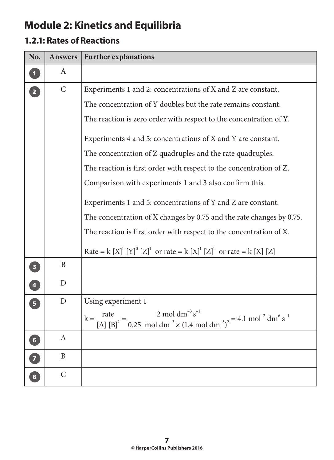# **Module 2: Kinetics and Equilibria**

## **1.2.1: Rates of Reactions**

| No.                     | <b>Answers</b> | <b>Further explanations</b>                                                                                                                                        |
|-------------------------|----------------|--------------------------------------------------------------------------------------------------------------------------------------------------------------------|
|                         | A              |                                                                                                                                                                    |
| $\overline{2}$          | $\mathsf{C}$   | Experiments 1 and 2: concentrations of X and Z are constant.                                                                                                       |
|                         |                | The concentration of Y doubles but the rate remains constant.                                                                                                      |
|                         |                | The reaction is zero order with respect to the concentration of Y.                                                                                                 |
|                         |                | Experiments 4 and 5: concentrations of X and Y are constant.                                                                                                       |
|                         |                | The concentration of Z quadruples and the rate quadruples.                                                                                                         |
|                         |                | The reaction is first order with respect to the concentration of Z.                                                                                                |
|                         |                | Comparison with experiments 1 and 3 also confirm this.                                                                                                             |
|                         |                | Experiments 1 and 5: concentrations of Y and Z are constant.                                                                                                       |
|                         |                | The concentration of X changes by 0.75 and the rate changes by 0.75.                                                                                               |
|                         |                | The reaction is first order with respect to the concentration of X.                                                                                                |
|                         |                | Rate = $k [X]^1 [Y]^0 [Z]^1$ or rate = $k [X]^1 [Z]^1$ or rate = $k [X] [Z]$                                                                                       |
| $\overline{\mathbf{3}}$ | B              |                                                                                                                                                                    |
| $\overline{\mathbf{4}}$ | $\mathbf D$    |                                                                                                                                                                    |
| $\overline{5}$          | $\mathbf D$    | Using experiment 1                                                                                                                                                 |
|                         |                | $k = {rate \over [A] [B]^2} = {2 \text{ mol dm}^{-3} s^{-1} \over 0.25 \text{ mol dm}^{-3} \times (1.4 \text{ mol dm}^{-3})^2} = 4.1 \text{ mol}^{-2} dm^6 s^{-1}$ |
| $6\phantom{1}6$         | A              |                                                                                                                                                                    |
|                         | $\mathbf{B}$   |                                                                                                                                                                    |
| 8                       | $\mathcal{C}$  |                                                                                                                                                                    |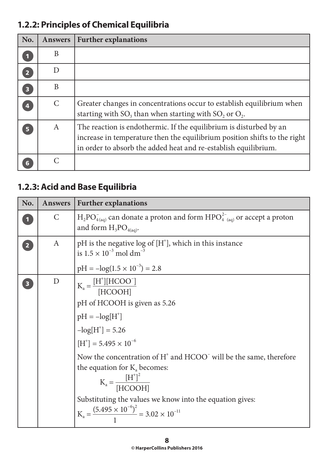## **1.2.2: Principles of Chemical Equilibria**

| No.                     | <b>Answers</b> | <b>Further explanations</b>                                                                                                                                                                                        |
|-------------------------|----------------|--------------------------------------------------------------------------------------------------------------------------------------------------------------------------------------------------------------------|
|                         | B              |                                                                                                                                                                                                                    |
| $\overline{2}$          | D              |                                                                                                                                                                                                                    |
| $\overline{\mathbf{3}}$ | B              |                                                                                                                                                                                                                    |
| 4                       | $\mathcal{C}$  | Greater changes in concentrations occur to establish equilibrium when<br>starting with $SO_3$ than when starting with $SO_2$ or $O_2$ .                                                                            |
| 5                       | A              | The reaction is endothermic. If the equilibrium is disturbed by an<br>increase in temperature then the equilibrium position shifts to the right<br>in order to absorb the added heat and re-establish equilibrium. |
|                         |                |                                                                                                                                                                                                                    |

#### **1.2.3: Acid and Base Equilibria**

| No.            | <b>Answers</b>   | <b>Further explanations</b>                                                                                                                                                                                                                                                                                                                                                                                                                                                                                  |
|----------------|------------------|--------------------------------------------------------------------------------------------------------------------------------------------------------------------------------------------------------------------------------------------------------------------------------------------------------------------------------------------------------------------------------------------------------------------------------------------------------------------------------------------------------------|
|                | $\mathsf{C}$     | $H_2PO_{4(aq)}^-$ can donate a proton and form $HPO_{4(aq)}^{2-}$ or accept a proton<br>and form $H_3PO_{4(aq)}$ .                                                                                                                                                                                                                                                                                                                                                                                           |
| $\overline{2}$ | $\boldsymbol{A}$ | pH is the negative log of $[H^{\dagger}]$ , which in this instance<br>is $1.5 \times 10^{-3}$ mol dm <sup>-3</sup><br>$pH = -\log(1.5 \times 10^{-3}) = 2.8$                                                                                                                                                                                                                                                                                                                                                 |
| 3              | D                | $K_a = \frac{[H^*][HCOO^-]}{[HCOOH]}$<br>pH of HCOOH is given as 5.26<br>pH = $-\log[H^+]$<br>-log[H <sup>+</sup> ] = 5.26<br>[H <sup>+</sup> ] = 5.495 × 10 <sup>-6</sup><br>Now the concentration of H <sup>+</sup> and HCOO <sup>-</sup> will be the same, therefore<br>the equation for $K_a$ becomes:<br>$K_a = \frac{\left[H^{\dagger}\right]^2}{\left[HCOOH\right]}$<br>Substituting the values we know into the equation gives:<br>$K_a = \frac{(5.495 \times 10^{-6})^2}{1} = 3.02 \times 10^{-11}$ |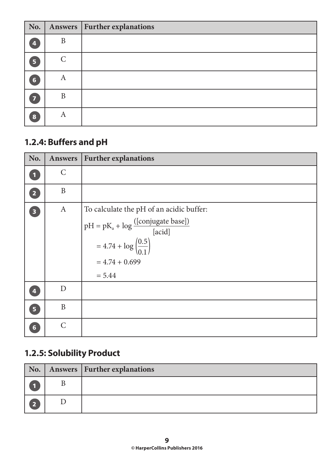| No. |               | Answers   Further explanations |
|-----|---------------|--------------------------------|
| 4   | B             |                                |
| 5   | $\mathcal{C}$ |                                |
| 6   | A             |                                |
| 57  | B             |                                |
| 8   | A             |                                |

## **1.2.4: Buffers and pH**

| No.                     | <b>Answers</b> | <b>Further explanations</b>                                                                                                                                                    |
|-------------------------|----------------|--------------------------------------------------------------------------------------------------------------------------------------------------------------------------------|
| $\blacksquare$          | $\mathsf{C}$   |                                                                                                                                                                                |
| $\overline{2}$          | $\mathbf{B}$   |                                                                                                                                                                                |
| $\overline{\mathbf{3}}$ | $\mathbf{A}$   | To calculate the pH of an acidic buffer:<br>$pH = pK_a + log \frac{([conjugate base])}{[acid]}$<br>= 4.74 + log $\left(\frac{0.5}{0.1}\right)$<br>$= 4.74 + 0.699$<br>$= 5.44$ |
| $\overline{\mathbf{A}}$ | D              |                                                                                                                                                                                |
| 5 <sup>1</sup>          | B              |                                                                                                                                                                                |
| $6\phantom{1}$          | $\mathsf{C}$   |                                                                                                                                                                                |

## **1.2.5: Solubility Product**

|                         | No.   Answers   Further explanations |
|-------------------------|--------------------------------------|
|                         |                                      |
| $\overline{\mathbf{2}}$ |                                      |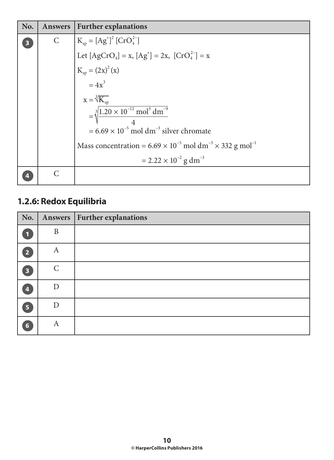| No. | Answers      | <b>Further explanations</b>                                                                                                       |
|-----|--------------|-----------------------------------------------------------------------------------------------------------------------------------|
| 3   | $\mathsf{C}$ | $K_{sp} = [Ag^+]^2 [CrO_4^{2-}]$<br>Let $[AgCrO_4] = x$ , $[Ag^+] = 2x$ , $[CrO_4^{2-}] = x$<br>$K_{sp} = (2x)^2 (x)$<br>$= 4x^3$ |
|     |              |                                                                                                                                   |
|     |              |                                                                                                                                   |
|     |              |                                                                                                                                   |
|     |              |                                                                                                                                   |
|     |              | $x = \sqrt[3]{K_{sp}}$<br>= $\sqrt[3]{\frac{1.20 \times 10^{-12} \text{ mol}^3 \text{ dm}^{-9}}{4}}$                              |
|     |              | $= 6.69 \times 10^{-5}$ mol dm <sup>-3</sup> silver chromate                                                                      |
|     |              | Mass concentration = $6.69 \times 10^{-5}$ mol dm <sup>-3</sup> × 332 g mol <sup>-1</sup>                                         |
|     |              | $= 2.22 \times 10^{-2}$ g dm <sup>-3</sup>                                                                                        |
|     | C            |                                                                                                                                   |

## **1.2.6: Redox Equilibria**

| No.                     |               | Answers   Further explanations |
|-------------------------|---------------|--------------------------------|
| $\blacksquare$          | $\mathbf{B}$  |                                |
| $\overline{2}$          | A             |                                |
| $\overline{\mathbf{3}}$ | $\mathcal{C}$ |                                |
| $\overline{\mathbf{A}}$ | D             |                                |
| 5 <sup>1</sup>          | D             |                                |
| $6\phantom{1}$          | A             |                                |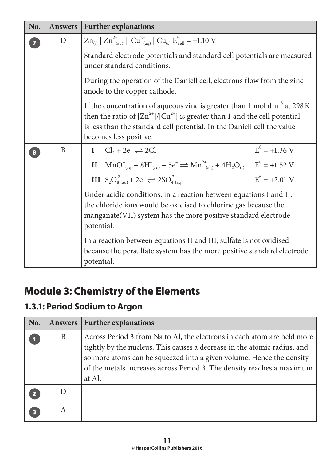| No.                               | <b>Answers</b> | <b>Further explanations</b>                                                                                                                                                                                                                                            |
|-----------------------------------|----------------|------------------------------------------------------------------------------------------------------------------------------------------------------------------------------------------------------------------------------------------------------------------------|
| $\begin{bmatrix} 7 \end{bmatrix}$ | D              | $Zn_{(s)}$ $Zn_{(a0)}^{2+}$ $   Cu_{(a0)}^{2+}   Cu_{(s)} E_{cell}^{\theta} = +1.10 V$                                                                                                                                                                                 |
|                                   |                | Standard electrode potentials and standard cell potentials are measured<br>under standard conditions.                                                                                                                                                                  |
|                                   |                | During the operation of the Daniell cell, electrons flow from the zinc<br>anode to the copper cathode.                                                                                                                                                                 |
|                                   |                | If the concentration of aqueous zinc is greater than 1 mol $dm^{-3}$ at 298 K<br>then the ratio of $[Zn^{2+}]/[Cu^{2+}]$ is greater than 1 and the cell potential<br>is less than the standard cell potential. In the Daniell cell the value<br>becomes less positive. |
| 8                                 | B              | $E^{\theta} = +1.36$ V<br>I $Cl_2 + 2e^- \rightleftharpoons 2Cl^-$                                                                                                                                                                                                     |
|                                   |                | II $MnO_{4(aq)}^- + 8H_{(aq)}^+ + 5e^- \rightleftharpoons Mn^{2+}_{(aq)} + 4H_2O_{(l)}$ $E^{\theta} = +1.52$ V                                                                                                                                                         |
|                                   |                | $E^{\theta} = +2.01$ V<br>III $S_2O_{8(aq)}^{2-} + 2e^- \rightleftharpoons 2SO_{4(aq)}^{2-}$                                                                                                                                                                           |
|                                   |                | Under acidic conditions, in a reaction between equations I and II,<br>the chloride ions would be oxidised to chlorine gas because the<br>manganate (VII) system has the more positive standard electrode<br>potential.                                                 |
|                                   |                | In a reaction between equations II and III, sulfate is not oxidised<br>because the persulfate system has the more positive standard electrode<br>potential.                                                                                                            |

# **Module 3: Chemistry of the Elements**

## **1.3.1: Period Sodium to Argon**

| No. | <b>Answers</b> | <b>Further explanations</b>                                                                                                                                                                                                                                                                                     |
|-----|----------------|-----------------------------------------------------------------------------------------------------------------------------------------------------------------------------------------------------------------------------------------------------------------------------------------------------------------|
|     | B              | Across Period 3 from Na to Al, the electrons in each atom are held more<br>tightly by the nucleus. This causes a decrease in the atomic radius, and<br>so more atoms can be squeezed into a given volume. Hence the density<br>of the metals increases across Period 3. The density reaches a maximum<br>at Al. |
|     |                |                                                                                                                                                                                                                                                                                                                 |
| 3   | A              |                                                                                                                                                                                                                                                                                                                 |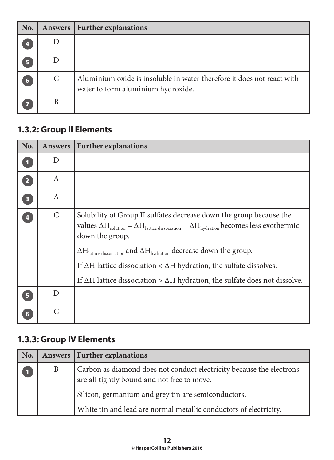| No. | <b>Answers</b> | <b>Further explanations</b>                                                                                  |
|-----|----------------|--------------------------------------------------------------------------------------------------------------|
|     |                |                                                                                                              |
| Б   |                |                                                                                                              |
| 6   | C              | Aluminium oxide is insoluble in water therefore it does not react with<br>water to form aluminium hydroxide. |
|     | B              |                                                                                                              |

#### **1.3.2: Group II Elements**

| No.                     | <b>Answers</b> | <b>Further explanations</b>                                                                                                                                                                                                                                                                                                                                                                                                                                                                                           |
|-------------------------|----------------|-----------------------------------------------------------------------------------------------------------------------------------------------------------------------------------------------------------------------------------------------------------------------------------------------------------------------------------------------------------------------------------------------------------------------------------------------------------------------------------------------------------------------|
|                         | D              |                                                                                                                                                                                                                                                                                                                                                                                                                                                                                                                       |
| $\overline{2}$          | A              |                                                                                                                                                                                                                                                                                                                                                                                                                                                                                                                       |
| $\overline{\mathbf{3}}$ | A              |                                                                                                                                                                                                                                                                                                                                                                                                                                                                                                                       |
| 4                       | $\mathsf{C}$   | Solubility of Group II sulfates decrease down the group because the<br>values $\Delta H_{\text{solution}} = \Delta H_{\text{lattice dissociation}} - \Delta H_{\text{hydration}}$ becomes less exothermic<br>down the group.<br>$\Delta H_{\text{lattice dissociation}}$ and $\Delta H_{\text{hydration}}$ decrease down the group.<br>If $\Delta H$ lattice dissociation < $\Delta H$ hydration, the sulfate dissolves.<br>If $\Delta H$ lattice dissociation > $\Delta H$ hydration, the sulfate does not dissolve. |
| 5                       | D              |                                                                                                                                                                                                                                                                                                                                                                                                                                                                                                                       |
|                         | C              |                                                                                                                                                                                                                                                                                                                                                                                                                                                                                                                       |

## **1.3.3: Group IV Elements**

| No. |   | Answers   Further explanations                                                                                      |
|-----|---|---------------------------------------------------------------------------------------------------------------------|
|     | B | Carbon as diamond does not conduct electricity because the electrons<br>are all tightly bound and not free to move. |
|     |   | Silicon, germanium and grey tin are semiconductors.                                                                 |
|     |   | White tin and lead are normal metallic conductors of electricity.                                                   |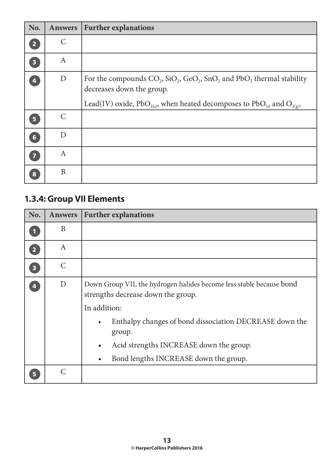| No.                     | <b>Answers</b>   | <b>Further explanations</b>                                                                                                                                                                                                     |
|-------------------------|------------------|---------------------------------------------------------------------------------------------------------------------------------------------------------------------------------------------------------------------------------|
| $\overline{2}$          | C                |                                                                                                                                                                                                                                 |
| $\overline{\mathbf{3}}$ | A                |                                                                                                                                                                                                                                 |
| $\overline{\mathbf{4}}$ | $\mathbf D$      | For the compounds $CO_2$ , $SiO_2$ , $GeO_2$ , $SnO_2$ and $PbO_2$ thermal stability<br>decreases down the group.<br>Lead(IV) oxide, PbO <sub>2(s)</sub> , when heated decomposes to PbO <sub>(s)</sub> and O <sub>2(g)</sub> . |
| 5                       | $\mathcal{C}$    |                                                                                                                                                                                                                                 |
| $6\phantom{a}$          | D                |                                                                                                                                                                                                                                 |
| $\overline{7}$          | $\boldsymbol{A}$ |                                                                                                                                                                                                                                 |
| 8                       | B                |                                                                                                                                                                                                                                 |

## **1.3.4: Group VII Elements**

| No.                     | <b>Answers</b> | <b>Further explanations</b>                                                                                                                                                                                                                                                                                                |
|-------------------------|----------------|----------------------------------------------------------------------------------------------------------------------------------------------------------------------------------------------------------------------------------------------------------------------------------------------------------------------------|
|                         | B              |                                                                                                                                                                                                                                                                                                                            |
| $\overline{2}$          | A              |                                                                                                                                                                                                                                                                                                                            |
| $\overline{\mathbf{3}}$ | $\mathcal{C}$  |                                                                                                                                                                                                                                                                                                                            |
| 4                       | D              | Down Group VII, the hydrogen halides become less stable because bond<br>strengths decrease down the group.<br>In addition:<br>Enthalpy changes of bond dissociation DECREASE down the<br>$\bullet$<br>group.<br>Acid strengths INCREASE down the group.<br>$\bullet$<br>Bond lengths INCREASE down the group.<br>$\bullet$ |
|                         | $\overline{C}$ |                                                                                                                                                                                                                                                                                                                            |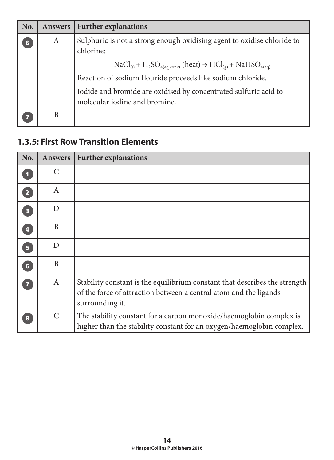| No. | <b>Answers</b> | <b>Further explanations</b>                                                                                                |
|-----|----------------|----------------------------------------------------------------------------------------------------------------------------|
| 6   | A              | Sulphuric is not a strong enough oxidising agent to oxidise chloride to<br>chlorine:                                       |
|     |                | $\text{NaCl}_{(s)} + \text{H}_2\text{SO}_{4(aq\text{-conc})}$ (heat) $\rightarrow \text{HCl}_{(g)} + \text{NaHSO}_{4(aq)}$ |
|     |                | Reaction of sodium flouride proceeds like sodium chloride.                                                                 |
|     |                | Iodide and bromide are oxidised by concentrated sulfuric acid to<br>molecular iodine and bromine.                          |
|     | Β              |                                                                                                                            |

#### **1.3.5: First Row Transition Elements**

| No.                     | <b>Answers</b>   | <b>Further explanations</b>                                                                                                                                        |
|-------------------------|------------------|--------------------------------------------------------------------------------------------------------------------------------------------------------------------|
|                         | C                |                                                                                                                                                                    |
| $\overline{2}$          | $\boldsymbol{A}$ |                                                                                                                                                                    |
| $\overline{\mathbf{3}}$ | D                |                                                                                                                                                                    |
| $\overline{\mathbf{A}}$ | B                |                                                                                                                                                                    |
| $\overline{\mathbf{5}}$ | D                |                                                                                                                                                                    |
| $6\phantom{a}$          | B                |                                                                                                                                                                    |
| $\overline{\mathbf{z}}$ | $\mathbf{A}$     | Stability constant is the equilibrium constant that describes the strength<br>of the force of attraction between a central atom and the ligands<br>surrounding it. |
| 8                       | $\mathcal{C}$    | The stability constant for a carbon monoxide/haemoglobin complex is<br>higher than the stability constant for an oxygen/haemoglobin complex.                       |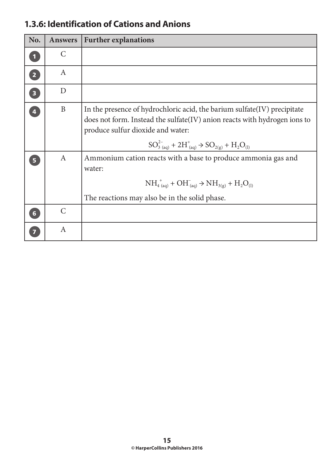| No.                     | <b>Answers</b>   | <b>Further explanations</b>                                                                                                                                                                                                                                           |
|-------------------------|------------------|-----------------------------------------------------------------------------------------------------------------------------------------------------------------------------------------------------------------------------------------------------------------------|
| $\blacksquare$          | $\mathcal{C}$    |                                                                                                                                                                                                                                                                       |
| $\overline{2}$          | $\boldsymbol{A}$ |                                                                                                                                                                                                                                                                       |
| $\overline{\mathbf{3}}$ | D                |                                                                                                                                                                                                                                                                       |
| $\overline{4}$          | $\mathbf{B}$     | In the presence of hydrochloric acid, the barium sulfate (IV) precipitate<br>does not form. Instead the sulfate(IV) anion reacts with hydrogen ions to<br>produce sulfur dioxide and water:<br>$SO_{3(aq)}^{2-} + 2H_{(aq)}^{+} \rightarrow SO_{2(g)} + H_{2}O_{(1)}$ |
| 5 <sup>1</sup>          | $\mathbf{A}$     | Ammonium cation reacts with a base to produce ammonia gas and<br>water:<br>$NH_{4(aq)}^{+} + OH_{(aq)}^{-} \rightarrow NH_{3(g)} + H_{2}O_{(1)}$<br>The reactions may also be in the solid phase.                                                                     |
| $6\phantom{1}$          | $\mathcal{C}$    |                                                                                                                                                                                                                                                                       |
|                         | $\mathbf{A}$     |                                                                                                                                                                                                                                                                       |

#### **1.3.6: Identification of Cations and Anions**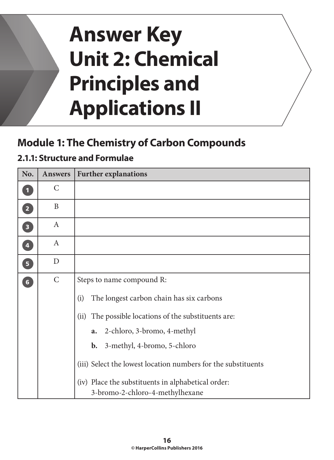# **Answer Key Unit 2: Chemical Principles and Applications II**

## **Module 1: The Chemistry of Carbon Compounds**

#### **2.1.1: Structure and Formulae**

| No.            | <b>Answers</b>   | <b>Further explanations</b>                                   |  |  |  |  |  |  |
|----------------|------------------|---------------------------------------------------------------|--|--|--|--|--|--|
| $\mathbf{1}$   | $\mathcal{C}$    |                                                               |  |  |  |  |  |  |
| $\mathbf{z}$   | B                |                                                               |  |  |  |  |  |  |
| $\boxed{3}$    | $\mathbf{A}$     |                                                               |  |  |  |  |  |  |
| $\overline{4}$ | $\boldsymbol{A}$ |                                                               |  |  |  |  |  |  |
| $\overline{5}$ | D                |                                                               |  |  |  |  |  |  |
| 6              | $\mathsf{C}$     | Steps to name compound R:                                     |  |  |  |  |  |  |
|                |                  | (i)<br>The longest carbon chain has six carbons               |  |  |  |  |  |  |
|                |                  | The possible locations of the substituents are:<br>(ii)       |  |  |  |  |  |  |
|                |                  | 2-chloro, 3-bromo, 4-methyl<br>a.                             |  |  |  |  |  |  |
|                |                  | 3-methyl, 4-bromo, 5-chloro<br><b>b.</b>                      |  |  |  |  |  |  |
|                |                  | (iii) Select the lowest location numbers for the substituents |  |  |  |  |  |  |
|                |                  | (iv) Place the substituents in alphabetical order:            |  |  |  |  |  |  |
|                |                  | 3-bromo-2-chloro-4-methylhexane                               |  |  |  |  |  |  |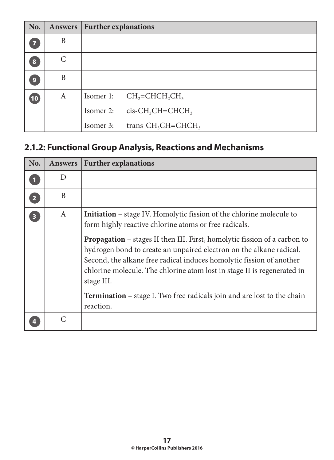| No.                     | <b>Answers</b> | <b>Further explanations</b> |                                             |
|-------------------------|----------------|-----------------------------|---------------------------------------------|
| $\overline{\mathbf{z}}$ | B              |                             |                                             |
| 8                       | $\mathcal{C}$  |                             |                                             |
| $\boldsymbol{9}$        | B              |                             |                                             |
| (10)                    | A              | Isomer 1:                   | $CH2=CHCH2CH3$                              |
|                         |                | Isomer 2:                   | $cis$ -CH <sub>3</sub> CH=CHCH <sub>3</sub> |
|                         |                | Isomer 3:                   | trans- $CH_3CH=CHCH_3$                      |

## **2.1.2: Functional Group Analysis, Reactions and Mechanisms**

| No.                     | <b>Answers</b> | <b>Further explanations</b>                                                                                                                                                                                                                                                                                                                                                                                                                                                                                                                                     |
|-------------------------|----------------|-----------------------------------------------------------------------------------------------------------------------------------------------------------------------------------------------------------------------------------------------------------------------------------------------------------------------------------------------------------------------------------------------------------------------------------------------------------------------------------------------------------------------------------------------------------------|
|                         | D              |                                                                                                                                                                                                                                                                                                                                                                                                                                                                                                                                                                 |
| 2 <sup>1</sup>          | B              |                                                                                                                                                                                                                                                                                                                                                                                                                                                                                                                                                                 |
| $\overline{\mathbf{3}}$ | A              | <b>Initiation</b> – stage IV. Homolytic fission of the chlorine molecule to<br>form highly reactive chlorine atoms or free radicals.<br><b>Propagation</b> – stages II then III. First, homolytic fission of a carbon to<br>hydrogen bond to create an unpaired electron on the alkane radical.<br>Second, the alkane free radical induces homolytic fission of another<br>chlorine molecule. The chlorine atom lost in stage II is regenerated in<br>stage III.<br><b>Termination</b> – stage I. Two free radicals join and are lost to the chain<br>reaction. |
|                         | C              |                                                                                                                                                                                                                                                                                                                                                                                                                                                                                                                                                                 |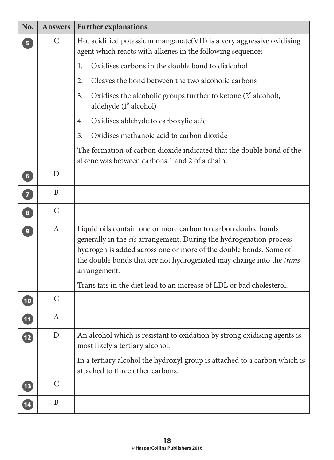| No.                      | <b>Answers</b>   | <b>Further explanations</b>                                                                                                                                                                                                                                                                                                                                               |  |  |  |  |  |  |
|--------------------------|------------------|---------------------------------------------------------------------------------------------------------------------------------------------------------------------------------------------------------------------------------------------------------------------------------------------------------------------------------------------------------------------------|--|--|--|--|--|--|
| 5 <sup>1</sup>           | $\mathcal{C}$    | Hot acidified potassium manganate (VII) is a very aggressive oxidising<br>agent which reacts with alkenes in the following sequence:                                                                                                                                                                                                                                      |  |  |  |  |  |  |
|                          |                  | Oxidises carbons in the double bond to dialcohol<br>1.                                                                                                                                                                                                                                                                                                                    |  |  |  |  |  |  |
|                          |                  | Cleaves the bond between the two alcoholic carbons<br>2.                                                                                                                                                                                                                                                                                                                  |  |  |  |  |  |  |
|                          |                  | Oxidises the alcoholic groups further to ketone $(2^{\circ}$ alcohol),<br>3.<br>aldehyde (1° alcohol)                                                                                                                                                                                                                                                                     |  |  |  |  |  |  |
|                          |                  | Oxidises aldehyde to carboxylic acid<br>4.                                                                                                                                                                                                                                                                                                                                |  |  |  |  |  |  |
|                          |                  | Oxidises methanoic acid to carbon dioxide<br>5.                                                                                                                                                                                                                                                                                                                           |  |  |  |  |  |  |
|                          |                  | The formation of carbon dioxide indicated that the double bond of the<br>alkene was between carbons 1 and 2 of a chain.                                                                                                                                                                                                                                                   |  |  |  |  |  |  |
| 6 <sup>1</sup>           | D                |                                                                                                                                                                                                                                                                                                                                                                           |  |  |  |  |  |  |
| $\overline{7}$           | B                |                                                                                                                                                                                                                                                                                                                                                                           |  |  |  |  |  |  |
| $\overline{\mathbf{8}}$  | $\mathcal{C}$    |                                                                                                                                                                                                                                                                                                                                                                           |  |  |  |  |  |  |
| $\overline{9}$           | $\boldsymbol{A}$ | Liquid oils contain one or more carbon to carbon double bonds<br>generally in the cis arrangement. During the hydrogenation process<br>hydrogen is added across one or more of the double bonds. Some of<br>the double bonds that are not hydrogenated may change into the trans<br>arrangement.<br>Trans fats in the diet lead to an increase of LDL or bad cholesterol. |  |  |  |  |  |  |
| 10                       | $\mathcal{C}$    |                                                                                                                                                                                                                                                                                                                                                                           |  |  |  |  |  |  |
| $\overline{\mathbf{11}}$ | A                |                                                                                                                                                                                                                                                                                                                                                                           |  |  |  |  |  |  |
| $\mathbf{12}$            | D                | An alcohol which is resistant to oxidation by strong oxidising agents is<br>most likely a tertiary alcohol.                                                                                                                                                                                                                                                               |  |  |  |  |  |  |
|                          |                  | In a tertiary alcohol the hydroxyl group is attached to a carbon which is<br>attached to three other carbons.                                                                                                                                                                                                                                                             |  |  |  |  |  |  |
| <b>13</b>                | $\mathcal{C}$    |                                                                                                                                                                                                                                                                                                                                                                           |  |  |  |  |  |  |
| $\boxed{14}$             | B                |                                                                                                                                                                                                                                                                                                                                                                           |  |  |  |  |  |  |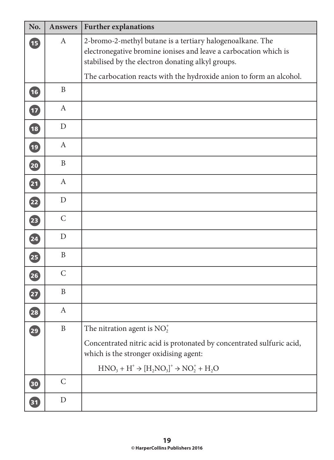| No.                      | <b>Answers</b> | <b>Further explanations</b>                                                                                                                                                        |
|--------------------------|----------------|------------------------------------------------------------------------------------------------------------------------------------------------------------------------------------|
| <b>B</b>                 | $\mathbf{A}$   | 2-bromo-2-methyl butane is a tertiary halogenoalkane. The<br>electronegative bromine ionises and leave a carbocation which is<br>stabilised by the electron donating alkyl groups. |
|                          |                | The carbocation reacts with the hydroxide anion to form an alcohol.                                                                                                                |
| 16                       | $\mathbf{B}$   |                                                                                                                                                                                    |
| $\overline{\mathbf{17}}$ | $\mathbf{A}$   |                                                                                                                                                                                    |
| $\overline{\textbf{18}}$ | D              |                                                                                                                                                                                    |
| $\left( 19\right)$       | $\mathbf{A}$   |                                                                                                                                                                                    |
| 20                       | $\mathbf{B}$   |                                                                                                                                                                                    |
| $\overline{\mathbf{21}}$ | $\mathbf{A}$   |                                                                                                                                                                                    |
| $\overline{\mathbf{22}}$ | D              |                                                                                                                                                                                    |
| $\left( 23\right)$       | $\mathsf{C}$   |                                                                                                                                                                                    |
| 24                       | $\mathbf D$    |                                                                                                                                                                                    |
| 25                       | $\mathbf B$    |                                                                                                                                                                                    |
| $\left( 26\right)$       | $\mathsf{C}$   |                                                                                                                                                                                    |
| $\boldsymbol{\Phi}$      | $\mathbf{B}$   |                                                                                                                                                                                    |
| 28                       | $\mathbf{A}$   |                                                                                                                                                                                    |
| 29                       | $\, {\bf B}$   | The nitration agent is $NO2+$                                                                                                                                                      |
|                          |                | Concentrated nitric acid is protonated by concentrated sulfuric acid,<br>which is the stronger oxidising agent:                                                                    |
|                          |                | $HNO3 + H+ \rightarrow [H2NO3]+ \rightarrow NO2+ + H2O$                                                                                                                            |
| $\boxed{30}$             | $\mathsf{C}$   |                                                                                                                                                                                    |
| $\mathbf{31}$            | D              |                                                                                                                                                                                    |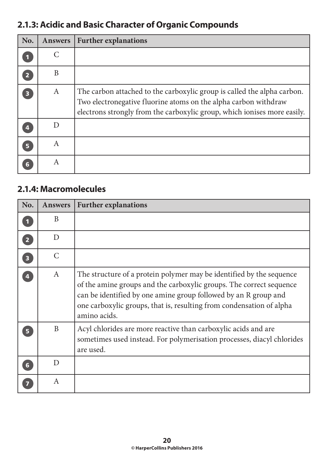## **2.1.3: Acidic and Basic Character of Organic Compounds**

| No.                     | <b>Answers</b> | <b>Further explanations</b>                                                                                                                                                                                            |
|-------------------------|----------------|------------------------------------------------------------------------------------------------------------------------------------------------------------------------------------------------------------------------|
| $\blacksquare$          | C              |                                                                                                                                                                                                                        |
| $\overline{2}$          | B              |                                                                                                                                                                                                                        |
| $\overline{\mathbf{3}}$ | A              | The carbon attached to the carboxylic group is called the alpha carbon.<br>Two electronegative fluorine atoms on the alpha carbon withdraw<br>electrons strongly from the carboxylic group, which ionises more easily. |
| 4                       | D              |                                                                                                                                                                                                                        |
| 5 <sup>1</sup>          | A              |                                                                                                                                                                                                                        |
|                         | A              |                                                                                                                                                                                                                        |

#### **2.1.4: Macromolecules**

| No.                     | <b>Answers</b> | <b>Further explanations</b>                                                                                                                                                                                                                                                                            |
|-------------------------|----------------|--------------------------------------------------------------------------------------------------------------------------------------------------------------------------------------------------------------------------------------------------------------------------------------------------------|
|                         | B              |                                                                                                                                                                                                                                                                                                        |
| $\overline{2}$          | D              |                                                                                                                                                                                                                                                                                                        |
| $\overline{\mathbf{3}}$ | $\mathcal{C}$  |                                                                                                                                                                                                                                                                                                        |
|                         | $\mathbf{A}$   | The structure of a protein polymer may be identified by the sequence<br>of the amine groups and the carboxylic groups. The correct sequence<br>can be identified by one amine group followed by an R group and<br>one carboxylic groups, that is, resulting from condensation of alpha<br>amino acids. |
|                         | B              | Acyl chlorides are more reactive than carboxylic acids and are<br>sometimes used instead. For polymerisation processes, diacyl chlorides<br>are used.                                                                                                                                                  |
| 6                       | D              |                                                                                                                                                                                                                                                                                                        |
|                         | A              |                                                                                                                                                                                                                                                                                                        |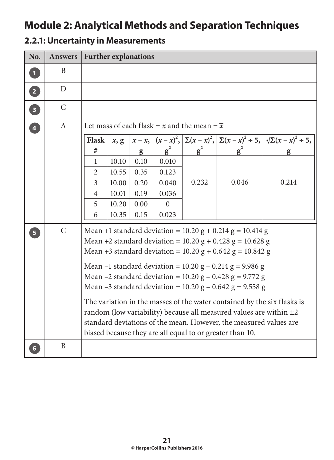## **Module 2: Analytical Methods and Separation Techniques**

| No.            | <b>Answers</b> | <b>Further explanations</b> |                                                                                                                                                                                                                                                                                                                                                                                                                                                                                                                                                                                                                                                                                                |      |          |                                                     |       |                                                                                                                                                                            |
|----------------|----------------|-----------------------------|------------------------------------------------------------------------------------------------------------------------------------------------------------------------------------------------------------------------------------------------------------------------------------------------------------------------------------------------------------------------------------------------------------------------------------------------------------------------------------------------------------------------------------------------------------------------------------------------------------------------------------------------------------------------------------------------|------|----------|-----------------------------------------------------|-------|----------------------------------------------------------------------------------------------------------------------------------------------------------------------------|
| $\mathbf{1}$   | B              |                             |                                                                                                                                                                                                                                                                                                                                                                                                                                                                                                                                                                                                                                                                                                |      |          |                                                     |       |                                                                                                                                                                            |
| $\boxed{2}$    | D              |                             |                                                                                                                                                                                                                                                                                                                                                                                                                                                                                                                                                                                                                                                                                                |      |          |                                                     |       |                                                                                                                                                                            |
| 3              | $\mathsf{C}$   |                             |                                                                                                                                                                                                                                                                                                                                                                                                                                                                                                                                                                                                                                                                                                |      |          |                                                     |       |                                                                                                                                                                            |
| $\overline{4}$ | $\mathbf{A}$   |                             |                                                                                                                                                                                                                                                                                                                                                                                                                                                                                                                                                                                                                                                                                                |      |          | Let mass of each flask = x and the mean = $\bar{x}$ |       |                                                                                                                                                                            |
|                |                | <b>Flask</b>                | x, g                                                                                                                                                                                                                                                                                                                                                                                                                                                                                                                                                                                                                                                                                           |      |          |                                                     |       | $x-\overline{x}, (x-\overline{x})^2, \left[\sum(x-\overline{x})^2, \left[\sum(x-\overline{x})^2 \div 5, \left[\sqrt{\sum(x-\overline{x})^2} \div 5, \right]\right]\right]$ |
|                |                | #                           |                                                                                                                                                                                                                                                                                                                                                                                                                                                                                                                                                                                                                                                                                                | g    | $g^2$    | $g^2$                                               |       |                                                                                                                                                                            |
|                |                | 1                           | 10.10                                                                                                                                                                                                                                                                                                                                                                                                                                                                                                                                                                                                                                                                                          | 0.10 | 0.010    |                                                     |       |                                                                                                                                                                            |
|                |                | $\overline{2}$              | 10.55                                                                                                                                                                                                                                                                                                                                                                                                                                                                                                                                                                                                                                                                                          | 0.35 | 0.123    |                                                     |       |                                                                                                                                                                            |
|                |                | 3                           | 10.00                                                                                                                                                                                                                                                                                                                                                                                                                                                                                                                                                                                                                                                                                          | 0.20 | 0.040    | 0.232                                               | 0.046 | 0.214                                                                                                                                                                      |
|                |                | 4                           | 10.01                                                                                                                                                                                                                                                                                                                                                                                                                                                                                                                                                                                                                                                                                          | 0.19 | 0.036    |                                                     |       |                                                                                                                                                                            |
|                |                | 5                           | 10.20                                                                                                                                                                                                                                                                                                                                                                                                                                                                                                                                                                                                                                                                                          | 0.00 | $\Omega$ |                                                     |       |                                                                                                                                                                            |
|                |                | 6                           | 10.35                                                                                                                                                                                                                                                                                                                                                                                                                                                                                                                                                                                                                                                                                          | 0.15 | 0.023    |                                                     |       |                                                                                                                                                                            |
| 5 <sup>1</sup> | $\mathsf{C}$   |                             | Mean +1 standard deviation = $10.20$ g + $0.214$ g = $10.414$ g<br>Mean +2 standard deviation = $10.20$ g + 0.428 g = $10.628$ g<br>Mean +3 standard deviation = $10.20$ g + $0.642$ g = $10.842$ g<br>Mean –1 standard deviation = $10.20$ g – $0.214$ g = 9.986 g<br>Mean –2 standard deviation = $10.20$ g – $0.428$ g = $9.772$ g<br>Mean –3 standard deviation = $10.20$ g – $0.642$ g = $9.558$ g<br>The variation in the masses of the water contained by the six flasks is<br>random (low variability) because all measured values are within $\pm 2$<br>standard deviations of the mean. However, the measured values are<br>biased because they are all equal to or greater than 10. |      |          |                                                     |       |                                                                                                                                                                            |
|                | B              |                             |                                                                                                                                                                                                                                                                                                                                                                                                                                                                                                                                                                                                                                                                                                |      |          |                                                     |       |                                                                                                                                                                            |

#### **2.2.1: Uncertainty in Measurements**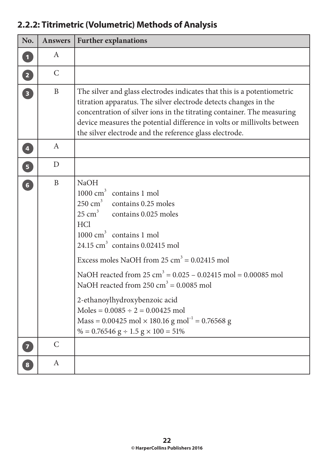| No.                               | Answers       | <b>Further explanations</b>                                                                                                                                                                                                                                                                                                                                                                                                                                                                                                                                                                                                                                          |
|-----------------------------------|---------------|----------------------------------------------------------------------------------------------------------------------------------------------------------------------------------------------------------------------------------------------------------------------------------------------------------------------------------------------------------------------------------------------------------------------------------------------------------------------------------------------------------------------------------------------------------------------------------------------------------------------------------------------------------------------|
| $\mathbf{1}$                      | A             |                                                                                                                                                                                                                                                                                                                                                                                                                                                                                                                                                                                                                                                                      |
| $\overline{\mathbf{2}}$           | $\mathcal{C}$ |                                                                                                                                                                                                                                                                                                                                                                                                                                                                                                                                                                                                                                                                      |
| $\begin{bmatrix} 3 \end{bmatrix}$ | $\mathbf{B}$  | The silver and glass electrodes indicates that this is a potentiometric<br>titration apparatus. The silver electrode detects changes in the<br>concentration of silver ions in the titrating container. The measuring<br>device measures the potential difference in volts or millivolts between<br>the silver electrode and the reference glass electrode.                                                                                                                                                                                                                                                                                                          |
| $\overline{\mathbf{4}}$           | A             |                                                                                                                                                                                                                                                                                                                                                                                                                                                                                                                                                                                                                                                                      |
| $\overline{5}$                    | $\mathbf D$   |                                                                                                                                                                                                                                                                                                                                                                                                                                                                                                                                                                                                                                                                      |
| 6                                 | B             | <b>NaOH</b><br>1000 cm <sup>3</sup> contains 1 mol<br>$250 \text{ cm}^3$ contains 0.25 moles<br>25 cm <sup>3</sup> contains 0.025 moles<br><b>HCl</b><br>1000 cm <sup>3</sup> contains 1 mol<br>24.15 $\text{cm}^3$ contains 0.02415 mol<br>Excess moles NaOH from $25 \text{ cm}^3 = 0.02415 \text{ mol}$<br>NaOH reacted from $25 \text{ cm}^3 = 0.025 - 0.02415 \text{ mol} = 0.00085 \text{ mol}$<br>NaOH reacted from $250 \text{ cm}^3 = 0.0085 \text{ mol}$<br>2-ethanoylhydroxybenzoic acid<br>Moles = $0.0085 \div 2 = 0.00425$ mol<br>Mass = $0.00425$ mol $\times$ 180.16 g mol <sup>-1</sup> = 0.76568 g<br>% = $0.76546$ g ÷ $1.5$ g $\times$ 100 = 51% |
| $\overline{\mathbf{z}}$           | $\mathcal{C}$ |                                                                                                                                                                                                                                                                                                                                                                                                                                                                                                                                                                                                                                                                      |
| $\bf{8}$                          | A             |                                                                                                                                                                                                                                                                                                                                                                                                                                                                                                                                                                                                                                                                      |

## **2.2.2: Titrimetric (Volumetric) Methods of Analysis**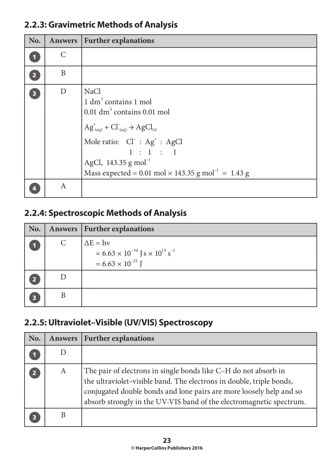#### **2.2.3: Gravimetric Methods of Analysis**

| No.                     | Answers | <b>Further explanations</b>                                                                                                                                                                                                                                                                                                       |
|-------------------------|---------|-----------------------------------------------------------------------------------------------------------------------------------------------------------------------------------------------------------------------------------------------------------------------------------------------------------------------------------|
|                         | C       |                                                                                                                                                                                                                                                                                                                                   |
| $\overline{2}$          | B       |                                                                                                                                                                                                                                                                                                                                   |
| $\overline{\mathbf{3}}$ | D       | <b>NaCl</b><br>1 dm <sup>3</sup> contains 1 mol<br>$0.01$ dm <sup>3</sup> contains $0.01$ mol<br>$AG^{\dagger}_{(aq)} + Cl^{\dagger}_{(aq)} \rightarrow AgCl_{(s)}$<br>Mole ratio: $Cl^- : Ag^+ : AgCl$<br>1 : 1 : 1<br>AgCl, 143.35 g mol <sup>-1</sup><br>Mass expected = 0.01 mol $\times$ 143.35 g mol <sup>-1</sup> = 1.43 g |
|                         | A       |                                                                                                                                                                                                                                                                                                                                   |

#### **2.2.4: Spectroscopic Methods of Analysis**

| No. |               | Answers   Further explanations                                                                                   |
|-----|---------------|------------------------------------------------------------------------------------------------------------------|
|     | $\mathcal{C}$ | $\Delta E = h\nu$<br>$= 6.63 \times 10^{-34}$ J s $\times 10^{13}$ s <sup>-1</sup><br>$= 6.63 \times 10^{-21}$ J |
|     |               |                                                                                                                  |
| В   | В             |                                                                                                                  |

#### **2.2.5: Ultraviolet–Visible (UV/VIS) Spectroscopy**

| No. | Answers | <b>Further explanations</b>                                                                                                                                                                                                                                                           |
|-----|---------|---------------------------------------------------------------------------------------------------------------------------------------------------------------------------------------------------------------------------------------------------------------------------------------|
|     |         |                                                                                                                                                                                                                                                                                       |
| 2   | A       | The pair of electrons in single bonds like C-H do not absorb in<br>the ultraviolet-visible band. The electrons in double, triple bonds,<br>conjugated double bonds and lone pairs are more loosely help and so<br>absorb strongly in the UV-VIS band of the electromagnetic spectrum. |
|     |         |                                                                                                                                                                                                                                                                                       |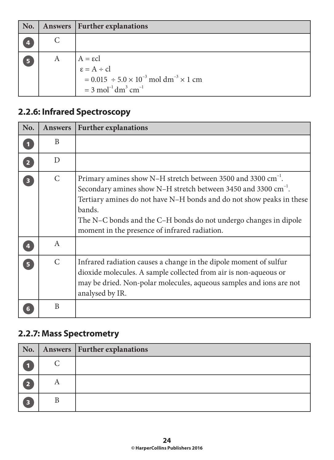| No.            |   | Answers   Further explanations                                                                                                                                                 |
|----------------|---|--------------------------------------------------------------------------------------------------------------------------------------------------------------------------------|
|                |   |                                                                                                                                                                                |
| $5\phantom{1}$ | A | $A = \varepsilon cl$<br>$\varepsilon = A \div cl$<br>$= 0.015 \div 5.0 \times 10^{-3}$ mol dm <sup>-3</sup> × 1 cm<br>$= 3$ mol <sup>-1</sup> dm <sup>3</sup> cm <sup>-1</sup> |

### **2.2.6: Infrared Spectroscopy**

| No.                     | <b>Answers</b> | <b>Further explanations</b>                                                                                                                                                                                                                                                                                                                                   |
|-------------------------|----------------|---------------------------------------------------------------------------------------------------------------------------------------------------------------------------------------------------------------------------------------------------------------------------------------------------------------------------------------------------------------|
| $\blacksquare$          | B              |                                                                                                                                                                                                                                                                                                                                                               |
| $\overline{2}$          | D              |                                                                                                                                                                                                                                                                                                                                                               |
| $\overline{\mathbf{3}}$ | $\mathsf{C}$   | Primary amines show N-H stretch between 3500 and 3300 cm <sup>-1</sup> .<br>Secondary amines show N–H stretch between 3450 and 3300 cm <sup>-1</sup> .<br>Tertiary amines do not have N–H bonds and do not show peaks in these<br>bands.<br>The N–C bonds and the C–H bonds do not undergo changes in dipole<br>moment in the presence of infrared radiation. |
|                         | A              |                                                                                                                                                                                                                                                                                                                                                               |
| 5 <sup>1</sup>          | $\mathcal{C}$  | Infrared radiation causes a change in the dipole moment of sulfur<br>dioxide molecules. A sample collected from air is non-aqueous or<br>may be dried. Non-polar molecules, aqueous samples and ions are not<br>analysed by IR.                                                                                                                               |
|                         | B              |                                                                                                                                                                                                                                                                                                                                                               |

### **2.2.7: Mass Spectrometry**

| $\mathbf{No.}$ |   | <b>Answers   Further explanations</b> |
|----------------|---|---------------------------------------|
|                |   |                                       |
| ю              | A |                                       |
| Б              |   |                                       |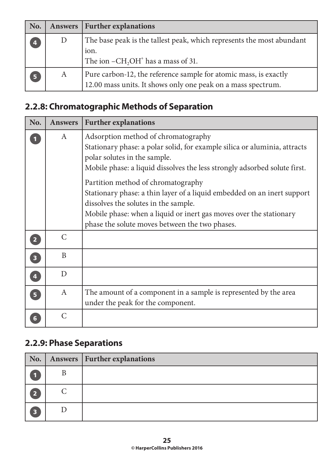| No.                     |   | Answers   Further explanations                                                                                                   |
|-------------------------|---|----------------------------------------------------------------------------------------------------------------------------------|
| $\overline{\mathbf{4}}$ | D | The base peak is the tallest peak, which represents the most abundant<br>ion.<br>The ion $-CH2OH+$ has a mass of 31.             |
| 5                       | A | Pure carbon-12, the reference sample for atomic mass, is exactly<br>12.00 mass units. It shows only one peak on a mass spectrum. |

## **2.2.8: Chromatographic Methods of Separation**

| No.                     | <b>Answers</b>   | <b>Further explanations</b>                                                                                                                                                                                                                                                                                                                                                                                                                                                                                    |
|-------------------------|------------------|----------------------------------------------------------------------------------------------------------------------------------------------------------------------------------------------------------------------------------------------------------------------------------------------------------------------------------------------------------------------------------------------------------------------------------------------------------------------------------------------------------------|
|                         | A                | Adsorption method of chromatography<br>Stationary phase: a polar solid, for example silica or aluminia, attracts<br>polar solutes in the sample.<br>Mobile phase: a liquid dissolves the less strongly adsorbed solute first.<br>Partition method of chromatography<br>Stationary phase: a thin layer of a liquid embedded on an inert support<br>dissolves the solutes in the sample.<br>Mobile phase: when a liquid or inert gas moves over the stationary<br>phase the solute moves between the two phases. |
| $\overline{2}$          | $\mathcal{C}$    |                                                                                                                                                                                                                                                                                                                                                                                                                                                                                                                |
| $\overline{\mathbf{3}}$ | B                |                                                                                                                                                                                                                                                                                                                                                                                                                                                                                                                |
| $\overline{\mathbf{4}}$ | D                |                                                                                                                                                                                                                                                                                                                                                                                                                                                                                                                |
| 5 <sup>1</sup>          | $\boldsymbol{A}$ | The amount of a component in a sample is represented by the area<br>under the peak for the component.                                                                                                                                                                                                                                                                                                                                                                                                          |
| 6                       | $\mathcal{C}$    |                                                                                                                                                                                                                                                                                                                                                                                                                                                                                                                |

## **2.2.9: Phase Separations**

| $\vert$ No. $\vert$ |           | Answers   Further explanations |
|---------------------|-----------|--------------------------------|
|                     | B         |                                |
| 2                   | $\subset$ |                                |
| $\overline{3}$      |           |                                |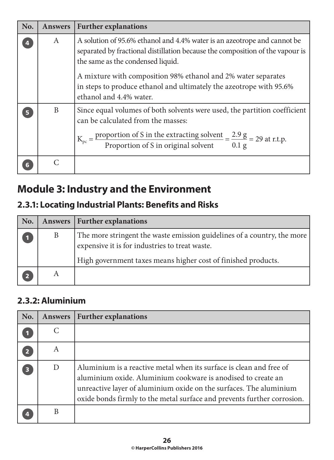| No. | <b>Answers</b> | <b>Further explanations</b>                                                                                                                                                                                                                                                                                                                                       |
|-----|----------------|-------------------------------------------------------------------------------------------------------------------------------------------------------------------------------------------------------------------------------------------------------------------------------------------------------------------------------------------------------------------|
|     | A              | A solution of 95.6% ethanol and 4.4% water is an azeotrope and cannot be<br>separated by fractional distillation because the composition of the vapour is<br>the same as the condensed liquid.<br>A mixture with composition 98% ethanol and 2% water separates<br>in steps to produce ethanol and ultimately the azeotrope with 95.6%<br>ethanol and 4.4% water. |
|     | B              | Since equal volumes of both solvents were used, the partition coefficient<br>can be calculated from the masses:<br>$K_{pc}$ = $\frac{proportion of S in the extracting solvent}{Proportion of S in original solvent}$ = $\frac{2.9 g}{0.1 g}$ = 29 at r.t.p.                                                                                                      |
|     |                |                                                                                                                                                                                                                                                                                                                                                                   |

# **Module 3: Industry and the Environment**

## **2.3.1: Locating Industrial Plants: Benefits and Risks**

| No. |   | Answers   Further explanations                                                                                                                                                             |
|-----|---|--------------------------------------------------------------------------------------------------------------------------------------------------------------------------------------------|
|     | B | The more stringent the waste emission guidelines of a country, the more<br>expensive it is for industries to treat waste.<br>High government taxes means higher cost of finished products. |
|     | А |                                                                                                                                                                                            |

#### **2.3.2: Aluminium**

| No. | <b>Answers</b> | <b>Further explanations</b>                                                                                                                                                                                                                                                          |
|-----|----------------|--------------------------------------------------------------------------------------------------------------------------------------------------------------------------------------------------------------------------------------------------------------------------------------|
|     | C              |                                                                                                                                                                                                                                                                                      |
|     | A              |                                                                                                                                                                                                                                                                                      |
| 3   | D              | Aluminium is a reactive metal when its surface is clean and free of<br>aluminium oxide. Aluminium cookware is anodised to create an<br>unreactive layer of aluminium oxide on the surfaces. The aluminium<br>oxide bonds firmly to the metal surface and prevents further corrosion. |
|     |                |                                                                                                                                                                                                                                                                                      |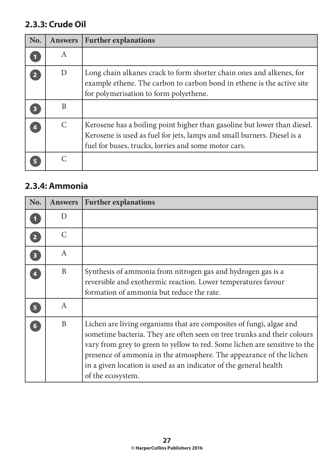#### **2.3.3: Crude Oil**

| No. | <b>Answers</b> | <b>Further explanations</b>                                                                                                                                                                                 |
|-----|----------------|-------------------------------------------------------------------------------------------------------------------------------------------------------------------------------------------------------------|
|     | A              |                                                                                                                                                                                                             |
|     | D              | Long chain alkanes crack to form shorter chain ones and alkenes, for<br>example ethene. The carbon to carbon bond in ethene is the active site<br>for polymerisation to form polyethene.                    |
|     | B              |                                                                                                                                                                                                             |
| 4   | $\mathcal{C}$  | Kerosene has a boiling point higher than gasoline but lower than diesel.<br>Kerosene is used as fuel for jets, lamps and small burners. Diesel is a<br>fuel for buses, trucks, lorries and some motor cars. |
|     |                |                                                                                                                                                                                                             |

#### **2.3.4: Ammonia**

| No.                     | <b>Answers</b> | <b>Further explanations</b>                                                                                                                                                                                                                                                                                                                                                                   |
|-------------------------|----------------|-----------------------------------------------------------------------------------------------------------------------------------------------------------------------------------------------------------------------------------------------------------------------------------------------------------------------------------------------------------------------------------------------|
|                         | D              |                                                                                                                                                                                                                                                                                                                                                                                               |
| $\overline{2}$          | $\mathcal{C}$  |                                                                                                                                                                                                                                                                                                                                                                                               |
| $\overline{\mathbf{3}}$ | A              |                                                                                                                                                                                                                                                                                                                                                                                               |
|                         | B              | Synthesis of ammonia from nitrogen gas and hydrogen gas is a<br>reversible and exothermic reaction. Lower temperatures favour<br>formation of ammonia but reduce the rate.                                                                                                                                                                                                                    |
| 5                       | A              |                                                                                                                                                                                                                                                                                                                                                                                               |
| $6\overline{6}$         | B              | Lichen are living organisms that are composites of fungi, algae and<br>sometime bacteria. They are often seen on tree trunks and their colours<br>vary from grey to green to yellow to red. Some lichen are sensitive to the<br>presence of ammonia in the atmosphere. The appearance of the lichen<br>in a given location is used as an indicator of the general health<br>of the ecosystem. |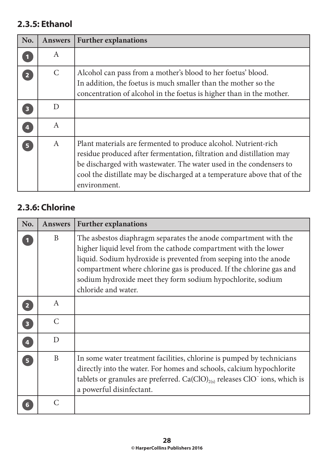#### **2.3.5: Ethanol**

| No.            | <b>Answers</b> | <b>Further explanations</b>                                                                                                                                                                                                                                                                               |
|----------------|----------------|-----------------------------------------------------------------------------------------------------------------------------------------------------------------------------------------------------------------------------------------------------------------------------------------------------------|
|                | A              |                                                                                                                                                                                                                                                                                                           |
| $\overline{2}$ | $\mathcal{C}$  | Alcohol can pass from a mother's blood to her foetus' blood.<br>In addition, the foetus is much smaller than the mother so the<br>concentration of alcohol in the foetus is higher than in the mother.                                                                                                    |
| 3              | D              |                                                                                                                                                                                                                                                                                                           |
| 4              | A              |                                                                                                                                                                                                                                                                                                           |
| 5              | $\mathbf{A}$   | Plant materials are fermented to produce alcohol. Nutrient-rich<br>residue produced after fermentation, filtration and distillation may<br>be discharged with wastewater. The water used in the condensers to<br>cool the distillate may be discharged at a temperature above that of the<br>environment. |

#### **2.3.6: Chlorine**

| No.                     | <b>Answers</b>   | <b>Further explanations</b>                                                                                                                                                                                                                                                                                                                                          |
|-------------------------|------------------|----------------------------------------------------------------------------------------------------------------------------------------------------------------------------------------------------------------------------------------------------------------------------------------------------------------------------------------------------------------------|
|                         | B                | The asbestos diaphragm separates the anode compartment with the<br>higher liquid level from the cathode compartment with the lower<br>liquid. Sodium hydroxide is prevented from seeping into the anode<br>compartment where chlorine gas is produced. If the chlorine gas and<br>sodium hydroxide meet they form sodium hypochlorite, sodium<br>chloride and water. |
| $\overline{2}$          | $\mathbf{A}$     |                                                                                                                                                                                                                                                                                                                                                                      |
| $\overline{\mathbf{3}}$ | $\overline{C}$   |                                                                                                                                                                                                                                                                                                                                                                      |
| $\overline{\mathbf{A}}$ | D                |                                                                                                                                                                                                                                                                                                                                                                      |
| $\overline{\mathbf{5}}$ | $\boldsymbol{B}$ | In some water treatment facilities, chlorine is pumped by technicians<br>directly into the water. For homes and schools, calcium hypochlorite<br>tablets or granules are preferred. $Ca(CIO)_{2(s)}$ releases $ClO^-$ ions, which is<br>a powerful disinfectant.                                                                                                     |
| 6                       | $\overline{C}$   |                                                                                                                                                                                                                                                                                                                                                                      |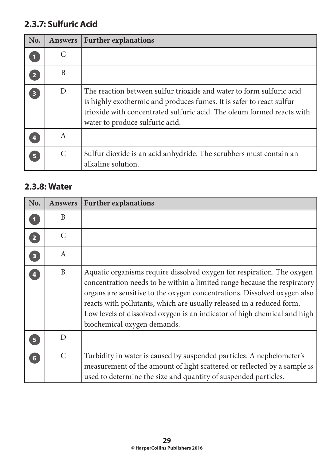### **2.3.7: Sulfuric Acid**

| No.                     | <b>Answers</b>        | <b>Further explanations</b>                                                                                                                                                                                                                               |
|-------------------------|-----------------------|-----------------------------------------------------------------------------------------------------------------------------------------------------------------------------------------------------------------------------------------------------------|
|                         |                       |                                                                                                                                                                                                                                                           |
| $\overline{2}$          | B                     |                                                                                                                                                                                                                                                           |
| $\overline{\mathbf{3}}$ | D                     | The reaction between sulfur trioxide and water to form sulfuric acid<br>is highly exothermic and produces fumes. It is safer to react sulfur<br>trioxide with concentrated sulfuric acid. The oleum formed reacts with<br>water to produce sulfuric acid. |
|                         | A                     |                                                                                                                                                                                                                                                           |
| Б                       | $\mathcal{C}_{\cdot}$ | Sulfur dioxide is an acid anhydride. The scrubbers must contain an<br>alkaline solution.                                                                                                                                                                  |

#### **2.3.8: Water**

| No.                     | <b>Answers</b> | <b>Further explanations</b>                                                                                                                                                                                                                                                                                                                                                                                        |
|-------------------------|----------------|--------------------------------------------------------------------------------------------------------------------------------------------------------------------------------------------------------------------------------------------------------------------------------------------------------------------------------------------------------------------------------------------------------------------|
|                         | B              |                                                                                                                                                                                                                                                                                                                                                                                                                    |
| $\overline{2}$          | $\mathcal{C}$  |                                                                                                                                                                                                                                                                                                                                                                                                                    |
| $\overline{\mathbf{3}}$ | $\mathbf{A}$   |                                                                                                                                                                                                                                                                                                                                                                                                                    |
| $\overline{\mathbf{A}}$ | B              | Aquatic organisms require dissolved oxygen for respiration. The oxygen<br>concentration needs to be within a limited range because the respiratory<br>organs are sensitive to the oxygen concentrations. Dissolved oxygen also<br>reacts with pollutants, which are usually released in a reduced form.<br>Low levels of dissolved oxygen is an indicator of high chemical and high<br>biochemical oxygen demands. |
| 5 <sup>1</sup>          | D              |                                                                                                                                                                                                                                                                                                                                                                                                                    |
| $6\phantom{1}6$         | $\mathcal{C}$  | Turbidity in water is caused by suspended particles. A nephelometer's<br>measurement of the amount of light scattered or reflected by a sample is<br>used to determine the size and quantity of suspended particles.                                                                                                                                                                                               |